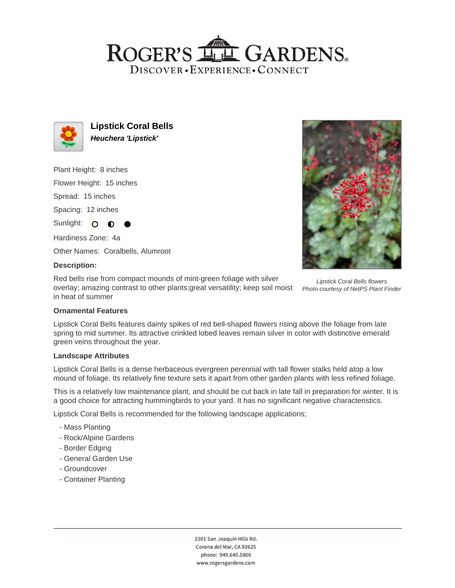## ROGER'S LL GARDENS. DISCOVER · EXPERIENCE · CONNECT



**Lipstick Coral Bells Heuchera 'Lipstick'**

Plant Height: 8 inches

Flower Height: 15 inches

Spread: 15 inches

Spacing: 12 inches

Sunlight: O

Hardiness Zone: 4a

Other Names: Coralbells, Alumroot

## **Description:**

Red bells rise from compact mounds of mint-green foliage with silver overlay; amazing contrast to other plants;great versatility; keep soil moist in heat of summer



Lipstick Coral Bells flowers Photo courtesy of NetPS Plant Finder

## **Ornamental Features**

Lipstick Coral Bells features dainty spikes of red bell-shaped flowers rising above the foliage from late spring to mid summer. Its attractive crinkled lobed leaves remain silver in color with distinctive emerald green veins throughout the year.

#### **Landscape Attributes**

Lipstick Coral Bells is a dense herbaceous evergreen perennial with tall flower stalks held atop a low mound of foliage. Its relatively fine texture sets it apart from other garden plants with less refined foliage.

This is a relatively low maintenance plant, and should be cut back in late fall in preparation for winter. It is a good choice for attracting hummingbirds to your yard. It has no significant negative characteristics.

Lipstick Coral Bells is recommended for the following landscape applications;

- Mass Planting
- Rock/Alpine Gardens
- Border Edging
- General Garden Use
- Groundcover
- Container Planting

2301 San Joaquin Hills Rd. Corona del Mar, CA 92625 phone: 949.640.5800 www.rogersgardens.com